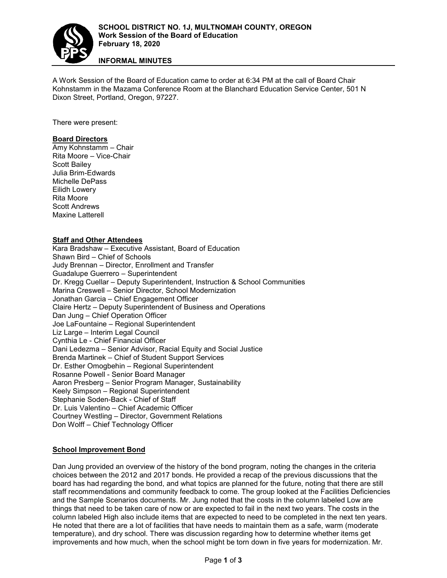

**INFORMAL MINUTES**

A Work Session of the Board of Education came to order at 6:34 PM at the call of Board Chair Kohnstamm in the Mazama Conference Room at the Blanchard Education Service Center, 501 N Dixon Street, Portland, Oregon, 97227.

There were present:

## **Board Directors**

Amy Kohnstamm – Chair Rita Moore – Vice-Chair Scott Bailey Julia Brim-Edwards Michelle DePass Eilidh Lowery Rita Moore Scott Andrews Maxine Latterell

## **Staff and Other Attendees**

Kara Bradshaw – Executive Assistant, Board of Education Shawn Bird – Chief of Schools Judy Brennan – Director, Enrollment and Transfer Guadalupe Guerrero – Superintendent Dr. Kregg Cuellar – Deputy Superintendent, Instruction & School Communities Marina Creswell – Senior Director, School Modernization Jonathan Garcia – Chief Engagement Officer Claire Hertz – Deputy Superintendent of Business and Operations Dan Jung – Chief Operation Officer Joe LaFountaine – Regional Superintendent Liz Large – Interim Legal Council Cynthia Le - Chief Financial Officer Dani Ledezma – Senior Advisor, Racial Equity and Social Justice Brenda Martinek – Chief of Student Support Services Dr. Esther Omogbehin – Regional Superintendent Rosanne Powell - Senior Board Manager Aaron Presberg – Senior Program Manager, Sustainability Keely Simpson – Regional Superintendent Stephanie Soden-Back - Chief of Staff Dr. Luis Valentino – Chief Academic Officer Courtney Westling – Director, Government Relations Don Wolff – Chief Technology Officer

# **School Improvement Bond**

Dan Jung provided an overview of the history of the bond program, noting the changes in the criteria choices between the 2012 and 2017 bonds. He provided a recap of the previous discussions that the board has had regarding the bond, and what topics are planned for the future, noting that there are still staff recommendations and community feedback to come. The group looked at the Facilities Deficiencies and the Sample Scenarios documents. Mr. Jung noted that the costs in the column labeled Low are things that need to be taken care of now or are expected to fail in the next two years. The costs in the column labeled High also include items that are expected to need to be completed in the next ten years. He noted that there are a lot of facilities that have needs to maintain them as a safe, warm (moderate temperature), and dry school. There was discussion regarding how to determine whether items get improvements and how much, when the school might be torn down in five years for modernization. Mr.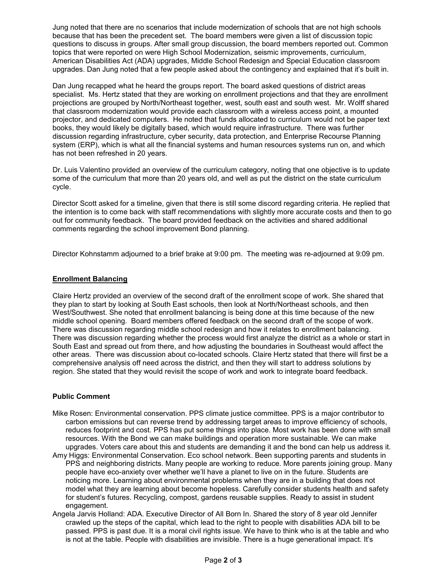Jung noted that there are no scenarios that include modernization of schools that are not high schools because that has been the precedent set. The board members were given a list of discussion topic questions to discuss in groups. After small group discussion, the board members reported out. Common topics that were reported on were High School Modernization, seismic improvements, curriculum, American Disabilities Act (ADA) upgrades, Middle School Redesign and Special Education classroom upgrades. Dan Jung noted that a few people asked about the contingency and explained that it's built in.

Dan Jung recapped what he heard the groups report. The board asked questions of district areas specialist. Ms. Hertz stated that they are working on enrollment projections and that they are enrollment projections are grouped by North/Northeast together, west, south east and south west. Mr. Wolff shared that classroom modernization would provide each classroom with a wireless access point, a mounted projector, and dedicated computers. He noted that funds allocated to curriculum would not be paper text books, they would likely be digitally based, which would require infrastructure. There was further discussion regarding infrastructure, cyber security, data protection, and Enterprise Recourse Planning system (ERP), which is what all the financial systems and human resources systems run on, and which has not been refreshed in 20 years.

Dr. Luis Valentino provided an overview of the curriculum category, noting that one objective is to update some of the curriculum that more than 20 years old, and well as put the district on the state curriculum cycle.

Director Scott asked for a timeline, given that there is still some discord regarding criteria. He replied that the intention is to come back with staff recommendations with slightly more accurate costs and then to go out for community feedback. The board provided feedback on the activities and shared additional comments regarding the school improvement Bond planning.

Director Kohnstamm adjourned to a brief brake at 9:00 pm. The meeting was re-adjourned at 9:09 pm.

## **Enrollment Balancing**

Claire Hertz provided an overview of the second draft of the enrollment scope of work. She shared that they plan to start by looking at South East schools, then look at North/Northeast schools, and then West/Southwest. She noted that enrollment balancing is being done at this time because of the new middle school opening. Board members offered feedback on the second draft of the scope of work. There was discussion regarding middle school redesign and how it relates to enrollment balancing. There was discussion regarding whether the process would first analyze the district as a whole or start in South East and spread out from there, and how adjusting the boundaries in Southeast would affect the other areas. There was discussion about co-located schools. Claire Hertz stated that there will first be a comprehensive analysis off need across the district, and then they will start to address solutions by region. She stated that they would revisit the scope of work and work to integrate board feedback.

## **Public Comment**

- Mike Rosen: Environmental conservation. PPS climate justice committee. PPS is a major contributor to carbon emissions but can reverse trend by addressing target areas to improve efficiency of schools, reduces footprint and cost. PPS has put some things into place. Most work has been done with small resources. With the Bond we can make buildings and operation more sustainable. We can make upgrades. Voters care about this and students are demanding it and the bond can help us address it.
- Amy Higgs: Environmental Conservation. Eco school network. Been supporting parents and students in PPS and neighboring districts. Many people are working to reduce. More parents joining group. Many people have eco-anxiety over whether we'll have a planet to live on in the future. Students are noticing more. Learning about environmental problems when they are in a building that does not model what they are learning about become hopeless. Carefully consider students health and safety for student's futures. Recycling, compost, gardens reusable supplies. Ready to assist in student engagement.
- Angela Jarvis Holland: ADA. Executive Director of All Born In. Shared the story of 8 year old Jennifer crawled up the steps of the capital, which lead to the right to people with disabilities ADA bill to be passed. PPS is past due. It is a moral civil rights issue. We have to think who is at the table and who is not at the table. People with disabilities are invisible. There is a huge generational impact. It's